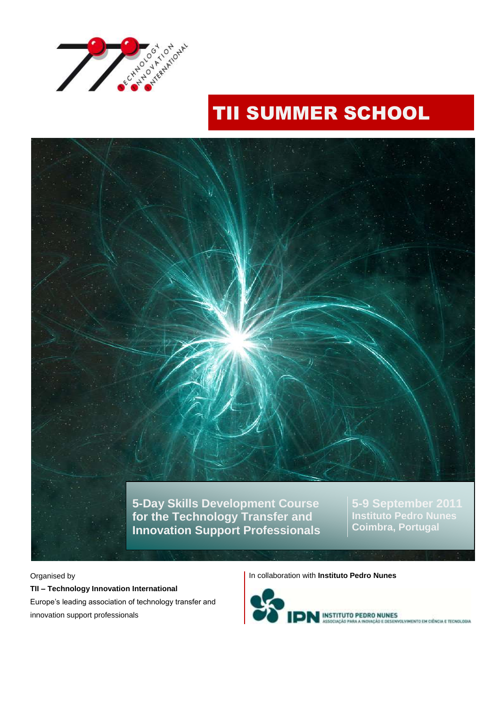

# TII SUMMER SCHOOL



Organised by

**TII – Technology Innovation International** Europe"s leading association of technology transfer and innovation support professionals

In collaboration with **Instituto Pedro Nunes**

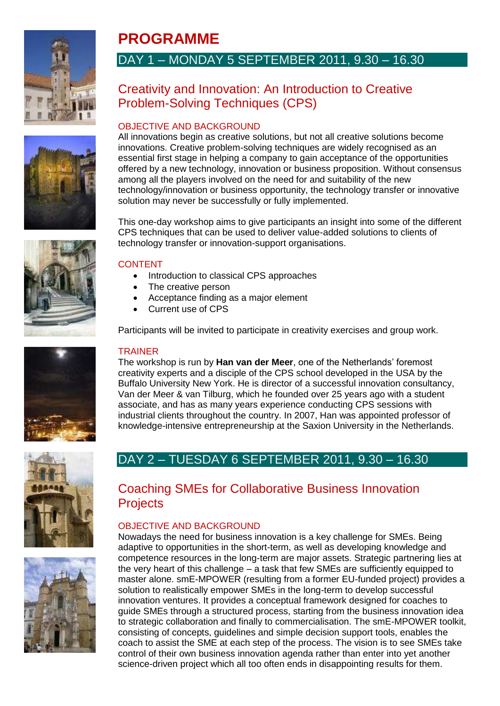











# **PROGRAMME** DAY 1 – MONDAY 5 SEPTEMBER 2011, 9.30 – 16.30

# Creativity and Innovation: An Introduction to Creative Problem-Solving Techniques (CPS)

### OBJECTIVE AND BACKGROUND

All innovations begin as creative solutions, but not all creative solutions become innovations. Creative problem-solving techniques are widely recognised as an essential first stage in helping a company to gain acceptance of the opportunities offered by a new technology, innovation or business proposition. Without consensus among all the players involved on the need for and suitability of the new technology/innovation or business opportunity, the technology transfer or innovative solution may never be successfully or fully implemented.

This one-day workshop aims to give participants an insight into some of the different CPS techniques that can be used to deliver value-added solutions to clients of technology transfer or innovation-support organisations.

#### CONTENT

- Introduction to classical CPS approaches
- The creative person
- Acceptance finding as a major element
- Current use of CPS

Participants will be invited to participate in creativity exercises and group work.

#### **TRAINER**

The workshop is run by **Han van der Meer**, one of the Netherlands" foremost creativity experts and a disciple of the CPS school developed in the USA by the Buffalo University New York. He is director of a successful innovation consultancy, Van der Meer & van Tilburg, which he founded over 25 years ago with a student associate, and has as many years experience conducting CPS sessions with industrial clients throughout the country. In 2007, Han was appointed professor of knowledge-intensive entrepreneurship at the Saxion University in the Netherlands.

# DAY 2 – TUESDAY 6 SEPTEMBER 2011, 9.30 – 16.30

## Coaching SMEs for Collaborative Business Innovation **Projects**

### OBJECTIVE AND BACKGROUND

Nowadays the need for business innovation is a key challenge for SMEs. Being adaptive to opportunities in the short-term, as well as developing knowledge and competence resources in the long-term are major assets. Strategic partnering lies at the very heart of this challenge – a task that few SMEs are sufficiently equipped to master alone. smE-MPOWER (resulting from a former EU-funded project) provides a solution to realistically empower SMEs in the long-term to develop successful innovation ventures. It provides a conceptual framework designed for coaches to guide SMEs through a structured process, starting from the business innovation idea to strategic collaboration and finally to commercialisation. The smE-MPOWER toolkit, consisting of concepts, guidelines and simple decision support tools, enables the coach to assist the SME at each step of the process. The vision is to see SMEs take control of their own business innovation agenda rather than enter into yet another science-driven project which all too often ends in disappointing results for them.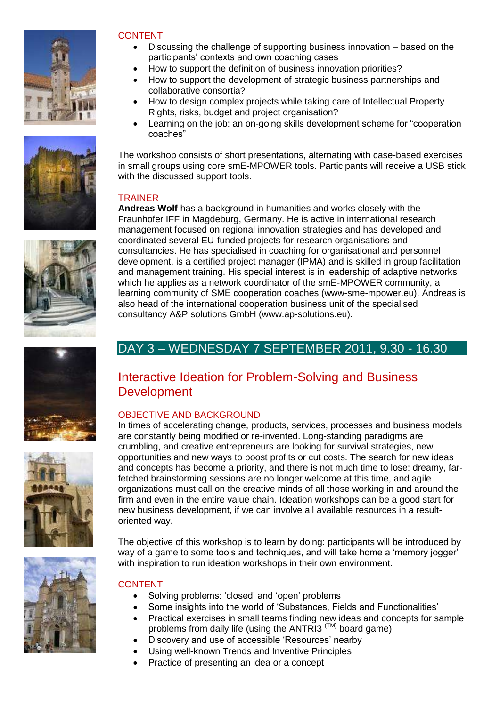











#### CONTENT

- Discussing the challenge of supporting business innovation based on the participants" contexts and own coaching cases
	- How to support the definition of business innovation priorities?
- How to support the development of strategic business partnerships and collaborative consortia?
- How to design complex projects while taking care of Intellectual Property Rights, risks, budget and project organisation?
- Learning on the job: an on-going skills development scheme for "cooperation coaches"

The workshop consists of short presentations, alternating with case-based exercises in small groups using core smE-MPOWER tools. Participants will receive a USB stick with the discussed support tools.

#### TRAINER

**Andreas Wolf** has a background in humanities and works closely with the Fraunhofer IFF in Magdeburg, Germany. He is active in international research management focused on regional innovation strategies and has developed and coordinated several EU-funded projects for research organisations and consultancies. He has specialised in coaching for organisational and personnel development, is a certified project manager (IPMA) and is skilled in group facilitation and management training. His special interest is in leadership of adaptive networks which he applies as a network coordinator of the smE-MPOWER community, a learning community of SME cooperation coaches (www-sme-mpower.eu). Andreas is also head of the international cooperation business unit of the specialised consultancy A&P solutions GmbH (www.ap-solutions.eu).

# DAY 3 – WEDNESDAY 7 SEPTEMBER 2011, 9.30 - 16.30

# Interactive Ideation for Problem-Solving and Business **Development**

### OBJECTIVE AND BACKGROUND

In times of accelerating change, products, services, processes and business models are constantly being modified or re-invented. Long-standing paradigms are crumbling, and creative entrepreneurs are looking for survival strategies, new opportunities and new ways to boost profits or cut costs. The search for new ideas and concepts has become a priority, and there is not much time to lose: dreamy, farfetched brainstorming sessions are no longer welcome at this time, and agile organizations must call on the creative minds of all those working in and around the firm and even in the entire value chain. Ideation workshops can be a good start for new business development, if we can involve all available resources in a resultoriented way.

The objective of this workshop is to learn by doing: participants will be introduced by way of a game to some tools and techniques, and will take home a "memory jogger" with inspiration to run ideation workshops in their own environment.

### CONTENT

- Solving problems: 'closed' and 'open' problems
- Some insights into the world of "Substances, Fields and Functionalities"
- Practical exercises in small teams finding new ideas and concepts for sample problems from daily life (using the ANTRI3 (TM) board game)
- Discovery and use of accessible "Resources" nearby
- Using well-known Trends and Inventive Principles
- Practice of presenting an idea or a concept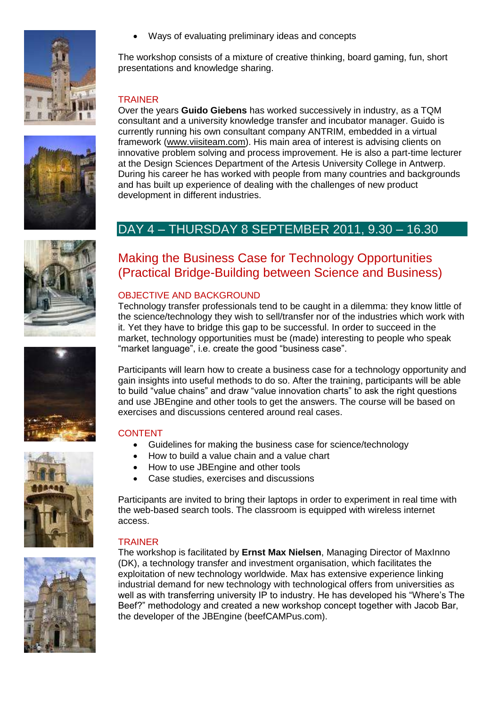











Ways of evaluating preliminary ideas and concepts

The workshop consists of a mixture of creative thinking, board gaming, fun, short presentations and knowledge sharing.

#### TRAINER

Over the years **Guido Giebens** has worked successively in industry, as a TQM consultant and a university knowledge transfer and incubator manager. Guido is currently running his own consultant company ANTRIM, embedded in a virtual framework [\(www.viisiteam.com\)](file:///C:/Users/PASCAL/AppData/Local/Microsoft/Windows/Temporary%20Internet%20Files/Low/Content.IE5/AppData/Local/Microsoft/Windows/Temporary%20Internet%20Files/Content.Outlook/2005%20Summer%20School/2006%20Summer%20School/www.viisiteam.com). His main area of interest is advising clients on innovative problem solving and process improvement. He is also a part-time lecturer at the Design Sciences Department of the Artesis University College in Antwerp. During his career he has worked with people from many countries and backgrounds and has built up experience of dealing with the challenges of new product development in different industries.

## DAY 4 – THURSDAY 8 SEPTEMBER 2011, 9.30 – 16.30

# Making the Business Case for Technology Opportunities (Practical Bridge-Building between Science and Business)

#### OBJECTIVE AND BACKGROUND

Technology transfer professionals tend to be caught in a dilemma: they know little of the science/technology they wish to sell/transfer nor of the industries which work with it. Yet they have to bridge this gap to be successful. In order to succeed in the market, technology opportunities must be (made) interesting to people who speak "market language", i.e. create the good "business case".

Participants will learn how to create a business case for a technology opportunity and gain insights into useful methods to do so. After the training, participants will be able to build "value chains" and draw "value innovation charts" to ask the right questions and use JBEngine and other tools to get the answers. The course will be based on exercises and discussions centered around real cases.

#### CONTENT

- Guidelines for making the business case for science/technology
- How to build a value chain and a value chart
- How to use JBEngine and other tools
- Case studies, exercises and discussions

Participants are invited to bring their laptops in order to experiment in real time with the web-based search tools. The classroom is equipped with wireless internet access.

#### **TRAINER**

The workshop is facilitated by **Ernst Max Nielsen**, Managing Director of MaxInno (DK), a technology transfer and investment organisation, which facilitates the exploitation of new technology worldwide. Max has extensive experience linking industrial demand for new technology with technological offers from universities as well as with transferring university IP to industry. He has developed his "Where's The Beef?" methodology and created a new workshop concept together with Jacob Bar, the developer of the JBEngine (beefCAMPus.com).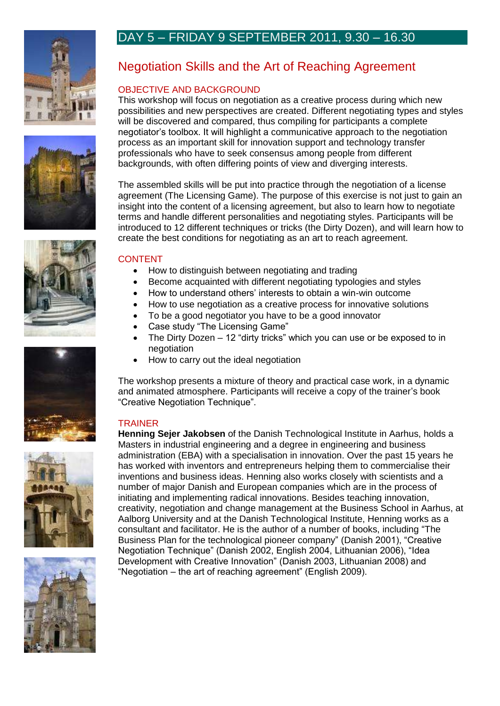











# DAY 5 – FRIDAY 9 SEPTEMBER 2011, 9.30 – 16.30

# Negotiation Skills and the Art of Reaching Agreement

#### OBJECTIVE AND BACKGROUND

This workshop will focus on negotiation as a creative process during which new possibilities and new perspectives are created. Different negotiating types and styles will be discovered and compared, thus compiling for participants a complete negotiator"s toolbox. It will highlight a communicative approach to the negotiation process as an important skill for innovation support and technology transfer professionals who have to seek consensus among people from different backgrounds, with often differing points of view and diverging interests.

The assembled skills will be put into practice through the negotiation of a license agreement (The Licensing Game). The purpose of this exercise is not just to gain an insight into the content of a licensing agreement, but also to learn how to negotiate terms and handle different personalities and negotiating styles. Participants will be introduced to 12 different techniques or tricks (the Dirty Dozen), and will learn how to create the best conditions for negotiating as an art to reach agreement.

#### **CONTENT**

- How to distinguish between negotiating and trading
- Become acquainted with different negotiating typologies and styles
- How to understand others" interests to obtain a win-win outcome
- How to use negotiation as a creative process for innovative solutions
- To be a good negotiator you have to be a good innovator
- Case study "The Licensing Game"
- The Dirty Dozen 12 "dirty tricks" which you can use or be exposed to in negotiation
- How to carry out the ideal negotiation

The workshop presents a mixture of theory and practical case work, in a dynamic and animated atmosphere. Participants will receive a copy of the trainer"s book "Creative Negotiation Technique".

#### TRAINER

**Henning Sejer Jakobsen** of the Danish Technological Institute in Aarhus, holds a Masters in industrial engineering and a degree in engineering and business administration (EBA) with a specialisation in innovation. Over the past 15 years he has worked with inventors and entrepreneurs helping them to commercialise their inventions and business ideas. Henning also works closely with scientists and a number of major Danish and European companies which are in the process of initiating and implementing radical innovations. Besides teaching innovation, creativity, negotiation and change management at the Business School in Aarhus, at Aalborg University and at the Danish Technological Institute, Henning works as a consultant and facilitator. He is the author of a number of books, including "The Business Plan for the technological pioneer company" (Danish 2001), "Creative Negotiation Technique" (Danish 2002, English 2004, Lithuanian 2006), "Idea Development with Creative Innovation" (Danish 2003, Lithuanian 2008) and "Negotiation – the art of reaching agreement" (English 2009).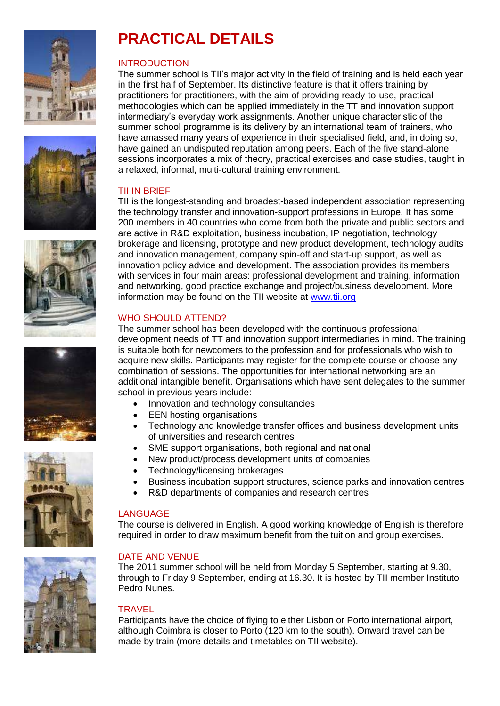











# **PRACTICAL DETAILS**

#### INTRODUCTION

The summer school is TII"s major activity in the field of training and is held each year in the first half of September. Its distinctive feature is that it offers training by practitioners for practitioners, with the aim of providing ready-to-use, practical methodologies which can be applied immediately in the TT and innovation support intermediary"s everyday work assignments. Another unique characteristic of the summer school programme is its delivery by an international team of trainers, who have amassed many years of experience in their specialised field, and, in doing so, have gained an undisputed reputation among peers. Each of the five stand-alone sessions incorporates a mix of theory, practical exercises and case studies, taught in a relaxed, informal, multi-cultural training environment.

#### TII IN BRIEF

TII is the longest-standing and broadest-based independent association representing the technology transfer and innovation-support professions in Europe. It has some 200 members in 40 countries who come from both the private and public sectors and are active in R&D exploitation, business incubation, IP negotiation, technology brokerage and licensing, prototype and new product development, technology audits and innovation management, company spin-off and start-up support, as well as innovation policy advice and development. The association provides its members with services in four main areas: professional development and training, information and networking, good practice exchange and project/business development. More information may be found on the TII website at [www.tii.org](http://www.tii.org/)

### WHO SHOULD ATTEND?

The summer school has been developed with the continuous professional development needs of TT and innovation support intermediaries in mind. The training is suitable both for newcomers to the profession and for professionals who wish to acquire new skills. Participants may register for the complete course or choose any combination of sessions. The opportunities for international networking are an additional intangible benefit. Organisations which have sent delegates to the summer school in previous years include:

- Innovation and technology consultancies
- EEN hosting organisations
- Technology and knowledge transfer offices and business development units of universities and research centres
- SME support organisations, both regional and national
- New product/process development units of companies
- Technology/licensing brokerages
- Business incubation support structures, science parks and innovation centres
- R&D departments of companies and research centres

#### LANGUAGE

The course is delivered in English. A good working knowledge of English is therefore required in order to draw maximum benefit from the tuition and group exercises.

### DATE AND VENUE

The 2011 summer school will be held from Monday 5 September, starting at 9.30, through to Friday 9 September, ending at 16.30. It is hosted by TII member Instituto Pedro Nunes.

#### **TRAVEL**

Participants have the choice of flying to either Lisbon or Porto international airport, although Coimbra is closer to Porto (120 km to the south). Onward travel can be made by train (more details and timetables on TII website).